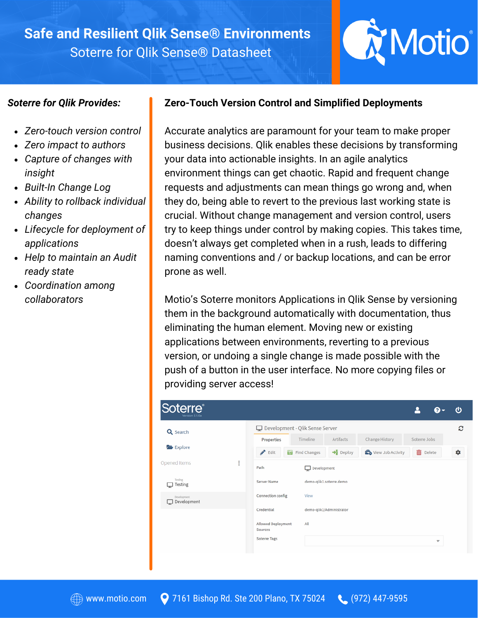# **Safe and Resilient Qlik Sense® Environments** Soterre for Qlik Sense® Datasheet

# Motio®

### *Soterre for Qlik Provides:*

- *Zero-touch version control*
- *Zero impact to authors*
- *Capture of changes with insight*
- *Built-In Change Log*
- *Ability to rollback individual changes*
- *Lifecycle for deployment of applications*
- *Help to maintain an Audit ready state*
- *Coordination among collaborators*

## **Zero-Touch Version Control and Simplified Deployments**

Accurate analytics are paramount for your team to make proper business decisions. Qlik enables these decisions by transforming your data into actionable insights. In an agile analytics environment things can get chaotic. Rapid and frequent change requests and adjustments can mean things go wrong and, when they do, being able to revert to the previous last working state is crucial. Without change management and version control, users try to keep things under control by making copies. This takes time, doesn't always get completed when in a rush, leads to differing naming conventions and / or backup locations, and can be error prone as well.

Motio's Soterre monitors Applications in Qlik Sense by versioning them in the background automatically with documentation, thus eliminating the human element. Moving new or existing applications between environments, reverting to a previous version, or undoing a single change is made possible with the push of a button in the user interface. No more copying files or providing server access!

| Soterre <sup>®</sup><br>Version 2.1.0a |               |                                                                          |                       |                          |                                     | 2               |                         | Φ |
|----------------------------------------|---------------|--------------------------------------------------------------------------|-----------------------|--------------------------|-------------------------------------|-----------------|-------------------------|---|
| Q Search                               |               | Development - Qlik Sense Server<br>Timeline<br>Artifacts<br>Soterre Jobs |                       |                          |                                     |                 |                         | c |
| Explore                                |               | Properties<br>$\mathcal{L}$<br>Edit                                      | <b>T</b> Find Changes | $\rightarrow$ Deploy     | Change History<br>View Job Activity | <b>而</b> Delete |                         | ۰ |
| Opened Items                           | $\frac{0}{2}$ | Path                                                                     | Development           |                          |                                     |                 |                         |   |
| <b>Testing</b><br>Testing              |               | Server Name                                                              |                       | demo-qlik1.soterre.demo  |                                     |                 |                         |   |
| Development<br>Development<br>□        |               | Connection config                                                        | View                  |                          |                                     |                 |                         |   |
|                                        |               | Credential<br>Allowed Deployment                                         | All                   | demo-qlik1/Administrator |                                     |                 |                         |   |
|                                        |               | Sources<br><b>Soterre Tags</b>                                           |                       |                          |                                     |                 | $\overline{\mathbf{v}}$ |   |
|                                        |               |                                                                          |                       |                          |                                     |                 |                         |   |